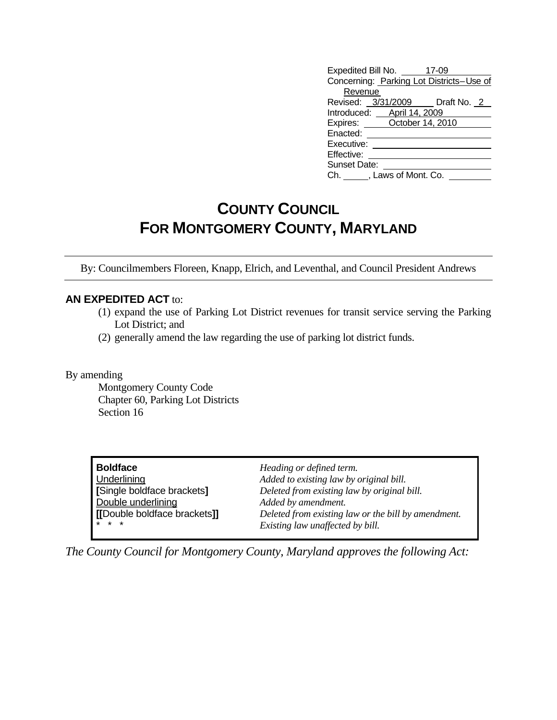|                                          | Expedited Bill No. 47-09   |                                |  |  |
|------------------------------------------|----------------------------|--------------------------------|--|--|
| Concerning: Parking Lot Districts-Use of |                            |                                |  |  |
| Revenue                                  |                            |                                |  |  |
|                                          |                            | Revised: 3/31/2009 Draft No. 2 |  |  |
|                                          | Introduced: April 14, 2009 |                                |  |  |
|                                          | Expires: October 14, 2010  |                                |  |  |
| Enacted:                                 |                            |                                |  |  |
| Executive:                               |                            |                                |  |  |
| Effective:                               |                            |                                |  |  |
| <b>Sunset Date:</b>                      |                            |                                |  |  |
| Ch. , Laws of Mont. Co.                  |                            |                                |  |  |

## **COUNTY COUNCIL FOR MONTGOMERY COUNTY, MARYLAND**

By: Councilmembers Floreen, Knapp, Elrich, and Leventhal, and Council President Andrews

## **AN EXPEDITED ACT** to:

- (1) expand the use of Parking Lot District revenues for transit service serving the Parking Lot District; and
- (2) generally amend the law regarding the use of parking lot district funds.

By amending

 Montgomery County Code Chapter 60, Parking Lot Districts Section 16

**Boldface** *Heading or defined term.* **Double underlining**<br> **[Double boldface brackets]]** *Deleted from existing i* 

Underlining *Added to existing law by original bill.* **[**Single boldface brackets**]** *Deleted from existing law by original bill.* **(b)**  $\mathbf{E}[\mathbf{E} \mathbf{B}]$  *Deleted from existing law or the bill by amendment.*  $Existing$  law unaffected by bill.

*The County Council for Montgomery County, Maryland approves the following Act:*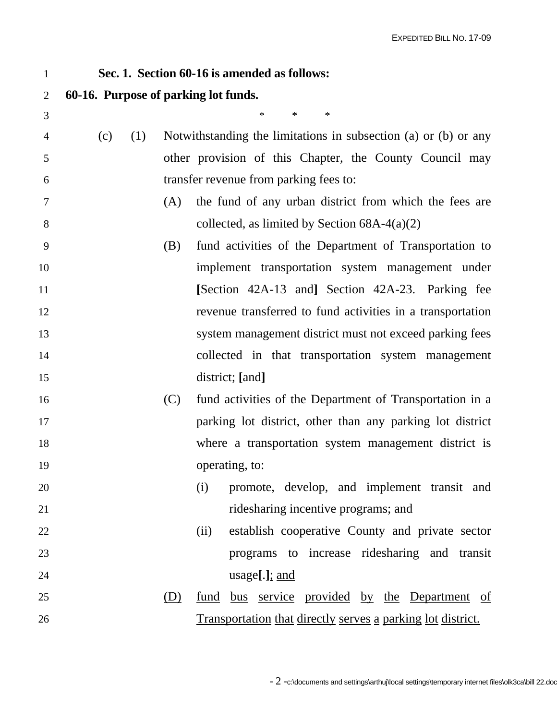## 1 **Sec. 1. Section 60-16 is amended as follows:** 2 **60-16. Purpose of parking lot funds.**  3  $*$  \* \* \* 4 (c) (1) Notwithstanding the limitations in subsection (a) or (b) or any 5 other provision of this Chapter, the County Council may 6 transfer revenue from parking fees to: 7 (A) the fund of any urban district from which the fees are 8 collected, as limited by Section 68A-4(a)(2) 9 (B) fund activities of the Department of Transportation to 10 implement transportation system management under 11 **[**Section 42A-13 and**]** Section 42A-23. Parking fee 12 revenue transferred to fund activities in a transportation 13 system management district must not exceed parking fees 14 collected in that transportation system management 15 district; **[**and**]**  16 (C) fund activities of the Department of Transportation in a 17 parking lot district, other than any parking lot district 18 where a transportation system management district is 19 operating, to: 20 (i) promote, develop, and implement transit and 21 ridesharing incentive programs; and 22 (ii) establish cooperative County and private sector 23 programs to increase ridesharing and transit 24 usage**[**.**]**; and 25 (D) fund bus service provided by the Department of 26 Transportation that directly serves a parking lot district.